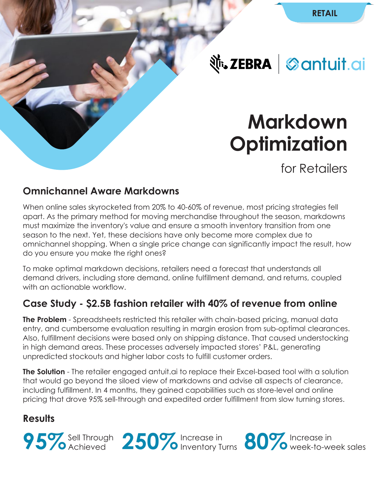**Nr. ZEBRA** Santuit.ai

# **Markdown Optimization**

for Retailers

#### **Omnichannel Aware Markdowns**

When online sales skyrocketed from 20% to 40-60% of revenue, most pricing strategies fell apart. As the primary method for moving merchandise throughout the season, markdowns must maximize the inventory's value and ensure a smooth inventory transition from one season to the next. Yet, these decisions have only become more complex due to omnichannel shopping. When a single price change can significantly impact the result, how do you ensure you make the right ones?

To make optimal markdown decisions, retailers need a forecast that understands all demand drivers, including store demand, online fulfillment demand, and returns, coupled with an actionable workflow.

#### **Case Study - \$2.5B fashion retailer with 40% of revenue from online**

**The Problem** - Spreadsheets restricted this retailer with chain-based pricing, manual data entry, and cumbersome evaluation resulting in margin erosion from sub-optimal clearances. Also, fulfillment decisions were based only on shipping distance. That caused understocking in high demand areas. These processes adversely impacted stores' P&L, generating unpredicted stockouts and higher labor costs to fulfill customer orders.

**The Solution** - The retailer engaged antuit.ai to replace their Excel-based tool with a solution that would go beyond the siloed view of markdowns and advise all aspects of clearance, including fulfillment. In 4 months, they gained capabilities such as store-level and online pricing that drove 95% sell-through and expedited order fulfillment from slow turning stores.

#### **Results**